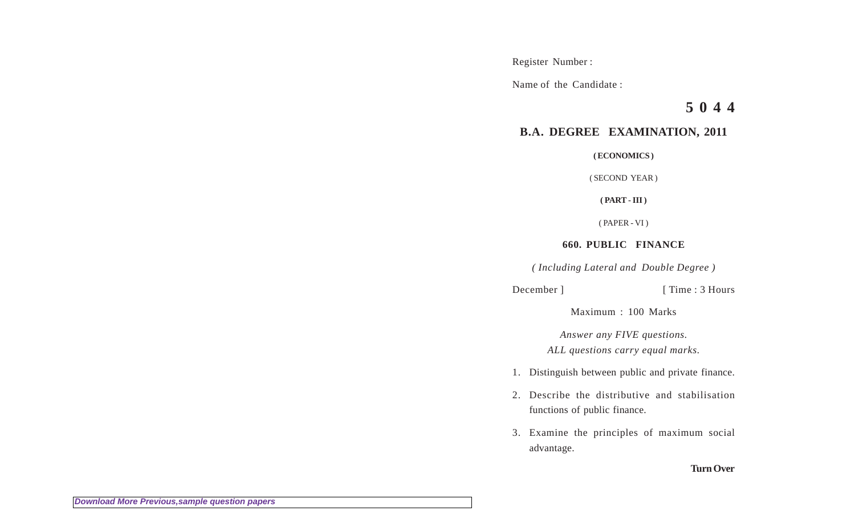Register Number :

Name of the Candidate :

**5 0 4 4**

## **B.A. DEGREE EXAMINATION, 2011**

**( ECONOMICS )**

( SECOND YEAR )

**( PART - III )**

( PAPER - VI )

**660. PUBLIC FINANCE**

*( Including Lateral and Double Degree )*

December ] [ Time : 3 Hours

Maximum : 100 Marks

*Answer any FIVE questions. ALL questions carry equal marks.*

- 1. Distinguish between public and private finance.
- 2. Describe the distributive and stabilisation functions of public finance.
- 3. Examine the principles of maximum social advantage.

## **Turn Over**